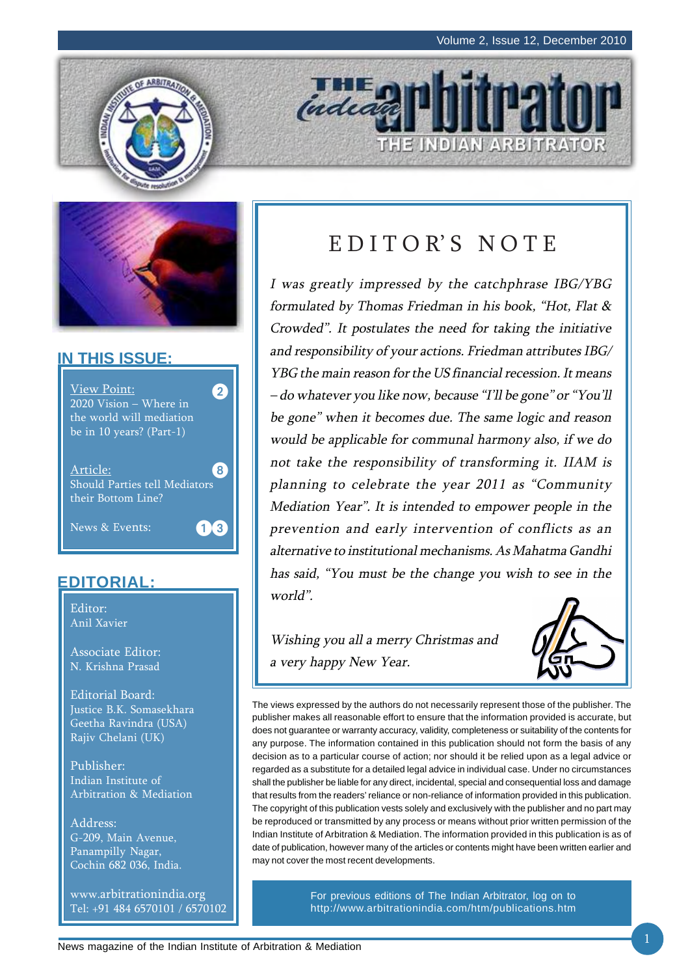THE INDIAN ARBITRATOR





#### **IN THIS ISSUE:**



#### **EDITORIAL:**

Editor: Anil Xavier

Associate Editor: N. Krishna Prasad

Editorial Board: Justice B.K. Somasekhara Geetha Ravindra (USA) Rajiv Chelani (UK)

Publisher: Indian Institute of Arbitration & Mediation

Address: G-209, Main Avenue, Panampilly Nagar, Cochin 682 036, India.

www.arbitrationindia.org Tel: +91 484 6570101 / 6570102

# EDITOR'S NOTE

indeath

I was greatly impressed by the catchphrase IBG/YBG formulated by Thomas Friedman in his book, "Hot, Flat & Crowded". It postulates the need for taking the initiative and responsibility of your actions. Friedman attributes IBG/ YBG the main reason for the US financial recession. It means – do whatever you like now, because "I'll be gone" or "You'll be gone" when it becomes due. The same logic and reason would be applicable for communal harmony also, if we do not take the responsibility of transforming it. IIAM is planning to celebrate the year 2011 as "Community Mediation Year". It is intended to empower people in the prevention and early intervention of conflicts as an alternative to institutional mechanisms. As Mahatma Gandhi has said, "You must be the change you wish to see in the world".

Wishing you all a merry Christmas and a very happy New Year.



The views expressed by the authors do not necessarily represent those of the publisher. The publisher makes all reasonable effort to ensure that the information provided is accurate, but does not guarantee or warranty accuracy, validity, completeness or suitability of the contents for any purpose. The information contained in this publication should not form the basis of any decision as to a particular course of action; nor should it be relied upon as a legal advice or regarded as a substitute for a detailed legal advice in individual case. Under no circumstances shall the publisher be liable for any direct, incidental, special and consequential loss and damage that results from the readers' reliance or non-reliance of information provided in this publication. The copyright of this publication vests solely and exclusively with the publisher and no part may be reproduced or transmitted by any process or means without prior written permission of the Indian Institute of Arbitration & Mediation. The information provided in this publication is as of date of publication, however many of the articles or contents might have been written earlier and may not cover the most recent developments.

> For previous editions of The Indian Arbitrator, log on to http://www.arbitrationindia.com/htm/publications.htm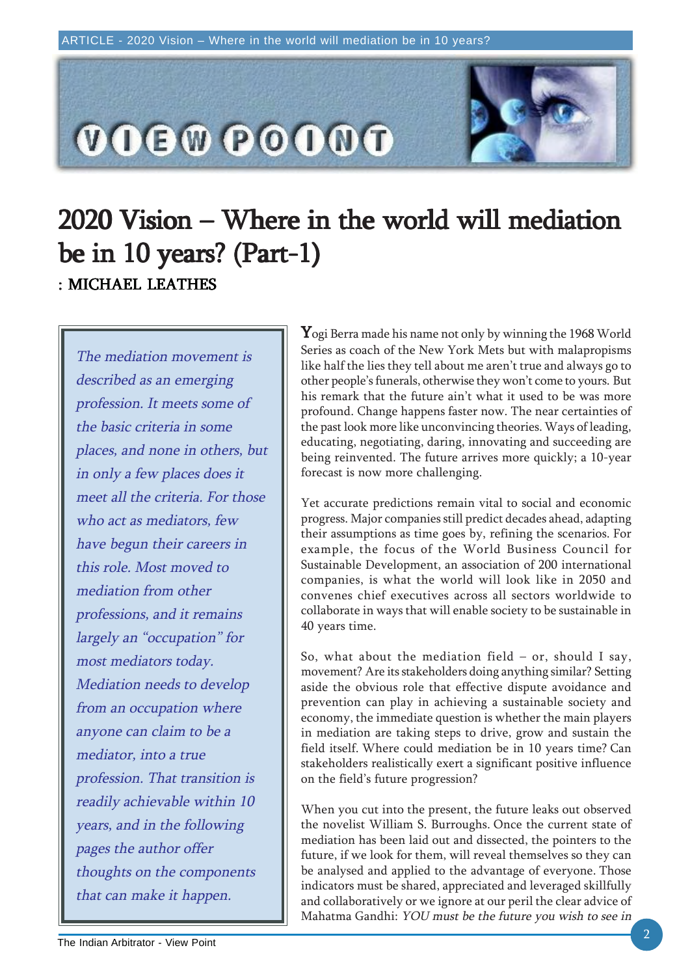

# 2020 Vision – Where in the world will mediation 2020 Vision – Where in the world will mediation be in 10 years?  $(Part-1)$ : MICHAEL LEATHES

The mediation movement is described as an emerging profession. It meets some of the basic criteria in some places, and none in others, but in only a few places does it meet all the criteria. For those who act as mediators, few have begun their careers in this role. Most moved to mediation from other professions, and it remains largely an "occupation" for most mediators today. Mediation needs to develop from an occupation where anyone can claim to be a mediator, into a true profession. That transition is readily achievable within 10 years, and in the following pages the author offer thoughts on the components that can make it happen.

 $\mathbf Y$ ogi Berra made his name not only by winning the 1968 World Series as coach of the New York Mets but with malapropisms like half the lies they tell about me aren't true and always go to other people's funerals, otherwise they won't come to yours. But his remark that the future ain't what it used to be was more profound. Change happens faster now. The near certainties of the past look more like unconvincing theories. Ways of leading, educating, negotiating, daring, innovating and succeeding are being reinvented. The future arrives more quickly; a 10-year forecast is now more challenging.

Yet accurate predictions remain vital to social and economic progress. Major companies still predict decades ahead, adapting their assumptions as time goes by, refining the scenarios. For example, the focus of the World Business Council for Sustainable Development, an association of 200 international companies, is what the world will look like in 2050 and convenes chief executives across all sectors worldwide to collaborate in ways that will enable society to be sustainable in 40 years time.

So, what about the mediation field – or, should I say, movement? Are its stakeholders doing anything similar? Setting aside the obvious role that effective dispute avoidance and prevention can play in achieving a sustainable society and economy, the immediate question is whether the main players in mediation are taking steps to drive, grow and sustain the field itself. Where could mediation be in 10 years time? Can stakeholders realistically exert a significant positive influence on the field's future progression?

When you cut into the present, the future leaks out observed the novelist William S. Burroughs. Once the current state of mediation has been laid out and dissected, the pointers to the future, if we look for them, will reveal themselves so they can be analysed and applied to the advantage of everyone. Those indicators must be shared, appreciated and leveraged skillfully and collaboratively or we ignore at our peril the clear advice of Mahatma Gandhi: YOU must be the future you wish to see in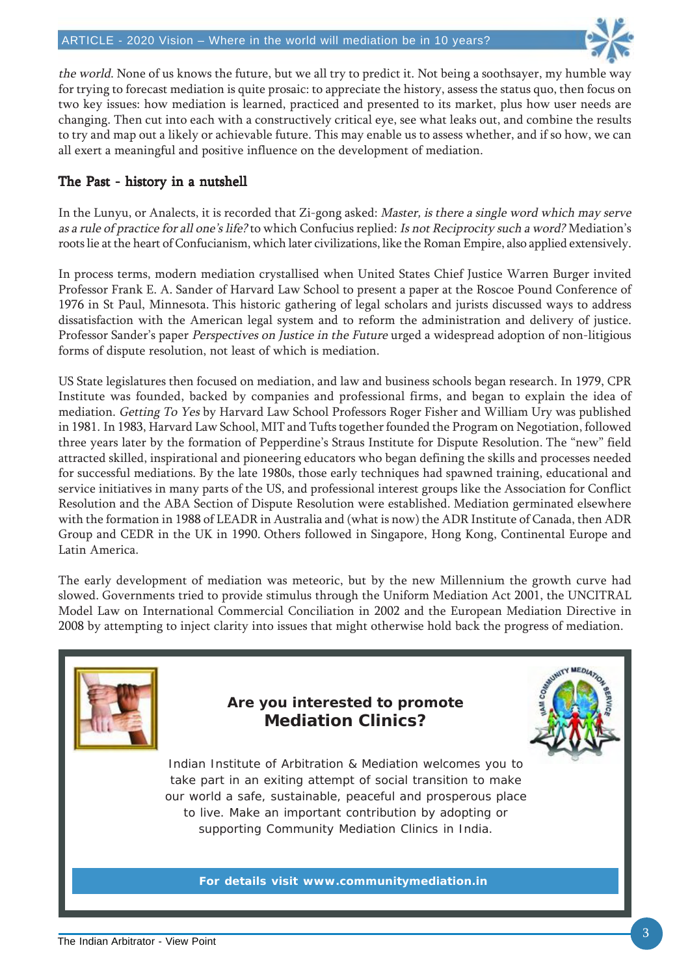

the world. None of us knows the future, but we all try to predict it. Not being a soothsayer, my humble way for trying to forecast mediation is quite prosaic: to appreciate the history, assess the status quo, then focus on two key issues: how mediation is learned, practiced and presented to its market, plus how user needs are changing. Then cut into each with a constructively critical eye, see what leaks out, and combine the results to try and map out a likely or achievable future. This may enable us to assess whether, and if so how, we can all exert a meaningful and positive influence on the development of mediation.

#### The Past - history in a nutshell

In the Lunyu, or Analects, it is recorded that Zi-gong asked: Master, is there a single word which may serve as a rule of practice for all one's life? to which Confucius replied: Is not Reciprocity such a word? Mediation's roots lie at the heart of Confucianism, which later civilizations, like the Roman Empire, also applied extensively.

In process terms, modern mediation crystallised when United States Chief Justice Warren Burger invited Professor Frank E. A. Sander of Harvard Law School to present a paper at the Roscoe Pound Conference of 1976 in St Paul, Minnesota. This historic gathering of legal scholars and jurists discussed ways to address dissatisfaction with the American legal system and to reform the administration and delivery of justice. Professor Sander's paper Perspectives on Justice in the Future urged a widespread adoption of non-litigious forms of dispute resolution, not least of which is mediation.

US State legislatures then focused on mediation, and law and business schools began research. In 1979, CPR Institute was founded, backed by companies and professional firms, and began to explain the idea of mediation. Getting To Yes by Harvard Law School Professors Roger Fisher and William Ury was published in 1981. In 1983, Harvard Law School, MIT and Tufts together founded the Program on Negotiation, followed three years later by the formation of Pepperdine's Straus Institute for Dispute Resolution. The "new" field attracted skilled, inspirational and pioneering educators who began defining the skills and processes needed for successful mediations. By the late 1980s, those early techniques had spawned training, educational and service initiatives in many parts of the US, and professional interest groups like the Association for Conflict Resolution and the ABA Section of Dispute Resolution were established. Mediation germinated elsewhere with the formation in 1988 of LEADR in Australia and (what is now) the ADR Institute of Canada, then ADR Group and CEDR in the UK in 1990. Others followed in Singapore, Hong Kong, Continental Europe and Latin America.

The early development of mediation was meteoric, but by the new Millennium the growth curve had slowed. Governments tried to provide stimulus through the Uniform Mediation Act 2001, the UNCITRAL Model Law on International Commercial Conciliation in 2002 and the European Mediation Directive in 2008 by attempting to inject clarity into issues that might otherwise hold back the progress of mediation.

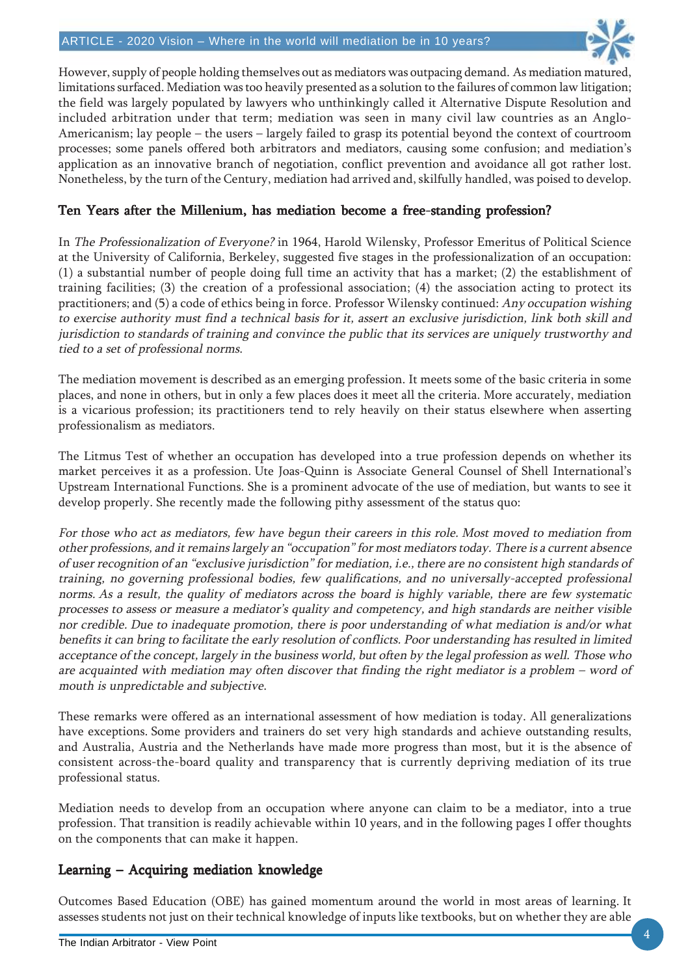

However, supply of people holding themselves out as mediators was outpacing demand. As mediation matured, limitations surfaced. Mediation was too heavily presented as a solution to the failures of common law litigation; the field was largely populated by lawyers who unthinkingly called it Alternative Dispute Resolution and included arbitration under that term; mediation was seen in many civil law countries as an Anglo-Americanism; lay people – the users – largely failed to grasp its potential beyond the context of courtroom processes; some panels offered both arbitrators and mediators, causing some confusion; and mediation's application as an innovative branch of negotiation, conflict prevention and avoidance all got rather lost. Nonetheless, by the turn of the Century, mediation had arrived and, skilfully handled, was poised to develop.

#### Ten Years after the Millenium, has mediation become a free-standing profession?

In The Professionalization of Everyone? in 1964, Harold Wilensky, Professor Emeritus of Political Science at the University of California, Berkeley, suggested five stages in the professionalization of an occupation: (1) a substantial number of people doing full time an activity that has a market; (2) the establishment of training facilities; (3) the creation of a professional association; (4) the association acting to protect its practitioners; and (5) a code of ethics being in force. Professor Wilensky continued: Any occupation wishing to exercise authority must find a technical basis for it, assert an exclusive jurisdiction, link both skill and jurisdiction to standards of training and convince the public that its services are uniquely trustworthy and tied to a set of professional norms.

The mediation movement is described as an emerging profession. It meets some of the basic criteria in some places, and none in others, but in only a few places does it meet all the criteria. More accurately, mediation is a vicarious profession; its practitioners tend to rely heavily on their status elsewhere when asserting professionalism as mediators.

The Litmus Test of whether an occupation has developed into a true profession depends on whether its market perceives it as a profession. Ute Joas-Quinn is Associate General Counsel of Shell International's Upstream International Functions. She is a prominent advocate of the use of mediation, but wants to see it develop properly. She recently made the following pithy assessment of the status quo:

For those who act as mediators, few have begun their careers in this role. Most moved to mediation from other professions, and it remains largely an "occupation" for most mediators today. There is a current absence of user recognition of an "exclusive jurisdiction" for mediation, i.e., there are no consistent high standards of training, no governing professional bodies, few qualifications, and no universally-accepted professional norms. As a result, the quality of mediators across the board is highly variable, there are few systematic processes to assess or measure a mediator's quality and competency, and high standards are neither visible nor credible. Due to inadequate promotion, there is poor understanding of what mediation is and/or what benefits it can bring to facilitate the early resolution of conflicts. Poor understanding has resulted in limited acceptance of the concept, largely in the business world, but often by the legal profession as well. Those who are acquainted with mediation may often discover that finding the right mediator is a problem – word of mouth is unpredictable and subjective.

These remarks were offered as an international assessment of how mediation is today. All generalizations have exceptions. Some providers and trainers do set very high standards and achieve outstanding results, and Australia, Austria and the Netherlands have made more progress than most, but it is the absence of consistent across-the-board quality and transparency that is currently depriving mediation of its true professional status.

Mediation needs to develop from an occupation where anyone can claim to be a mediator, into a true profession. That transition is readily achievable within 10 years, and in the following pages I offer thoughts on the components that can make it happen.

#### Learning – Acquiring mediation knowledge

Outcomes Based Education (OBE) has gained momentum around the world in most areas of learning. It assesses students not just on their technical knowledge of inputs like textbooks, but on whether they are able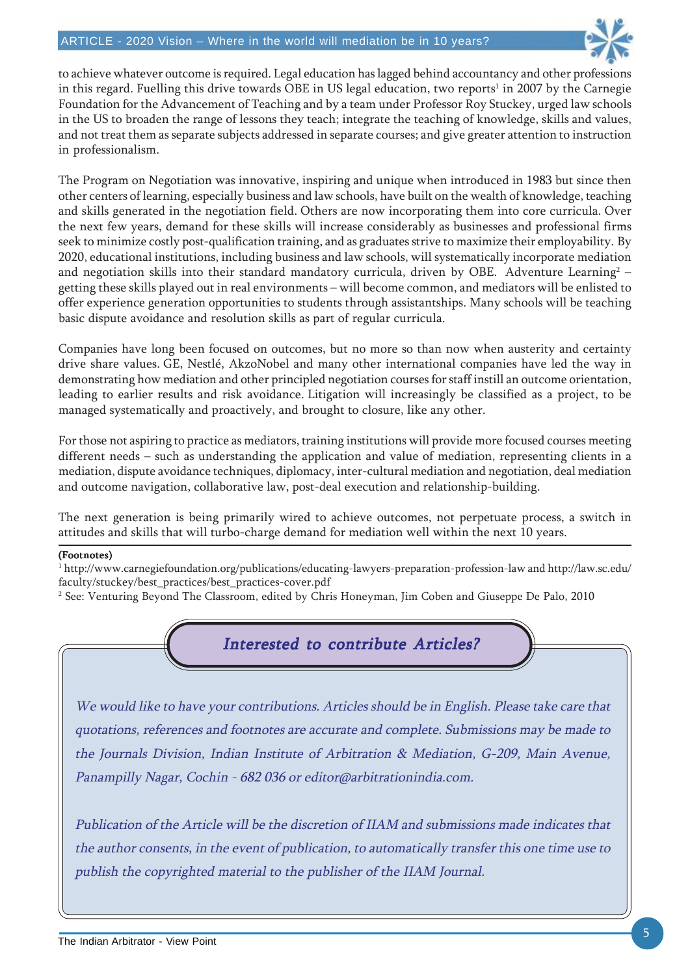

to achieve whatever outcome is required. Legal education has lagged behind accountancy and other professions in this regard. Fuelling this drive towards OBE in US legal education, two reports<sup>1</sup> in 2007 by the Carnegie Foundation for the Advancement of Teaching and by a team under Professor Roy Stuckey, urged law schools in the US to broaden the range of lessons they teach; integrate the teaching of knowledge, skills and values, and not treat them as separate subjects addressed in separate courses; and give greater attention to instruction in professionalism.

The Program on Negotiation was innovative, inspiring and unique when introduced in 1983 but since then other centers of learning, especially business and law schools, have built on the wealth of knowledge, teaching and skills generated in the negotiation field. Others are now incorporating them into core curricula. Over the next few years, demand for these skills will increase considerably as businesses and professional firms seek to minimize costly post-qualification training, and as graduates strive to maximize their employability. By 2020, educational institutions, including business and law schools, will systematically incorporate mediation and negotiation skills into their standard mandatory curricula, driven by OBE. Adventure Learning $^2$  – getting these skills played out in real environments – will become common, and mediators will be enlisted to offer experience generation opportunities to students through assistantships. Many schools will be teaching basic dispute avoidance and resolution skills as part of regular curricula.

Companies have long been focused on outcomes, but no more so than now when austerity and certainty drive share values. GE, Nestlé, AkzoNobel and many other international companies have led the way in demonstrating how mediation and other principled negotiation courses for staff instill an outcome orientation, leading to earlier results and risk avoidance. Litigation will increasingly be classified as a project, to be managed systematically and proactively, and brought to closure, like any other.

For those not aspiring to practice as mediators, training institutions will provide more focused courses meeting different needs – such as understanding the application and value of mediation, representing clients in a mediation, dispute avoidance techniques, diplomacy, inter-cultural mediation and negotiation, deal mediation and outcome navigation, collaborative law, post-deal execution and relationship-building.

The next generation is being primarily wired to achieve outcomes, not perpetuate process, a switch in attitudes and skills that will turbo-charge demand for mediation well within the next 10 years.

#### (Footnotes)

 $^{\rm 1}$  http://www.carnegiefoundation.org/publications/educating-lawyers-preparation-profession-law and http://law.sc.edu/ faculty/stuckey/best\_practices/best\_practices-cover.pdf

2 See: Venturing Beyond The Classroom, edited by Chris Honeyman, Jim Coben and Giuseppe De Palo, 2010

#### Interested to contribute Articles?

We would like to have your contributions. Articles should be in English. Please take care that quotations, references and footnotes are accurate and complete. Submissions may be made to the Journals Division, Indian Institute of Arbitration & Mediation, G-209, Main Avenue, Panampilly Nagar, Cochin - 682 036 or editor@arbitrationindia.com.

Publication of the Article will be the discretion of IIAM and submissions made indicates that the author consents, in the event of publication, to automatically transfer this one time use to publish the copyrighted material to the publisher of the IIAM Journal.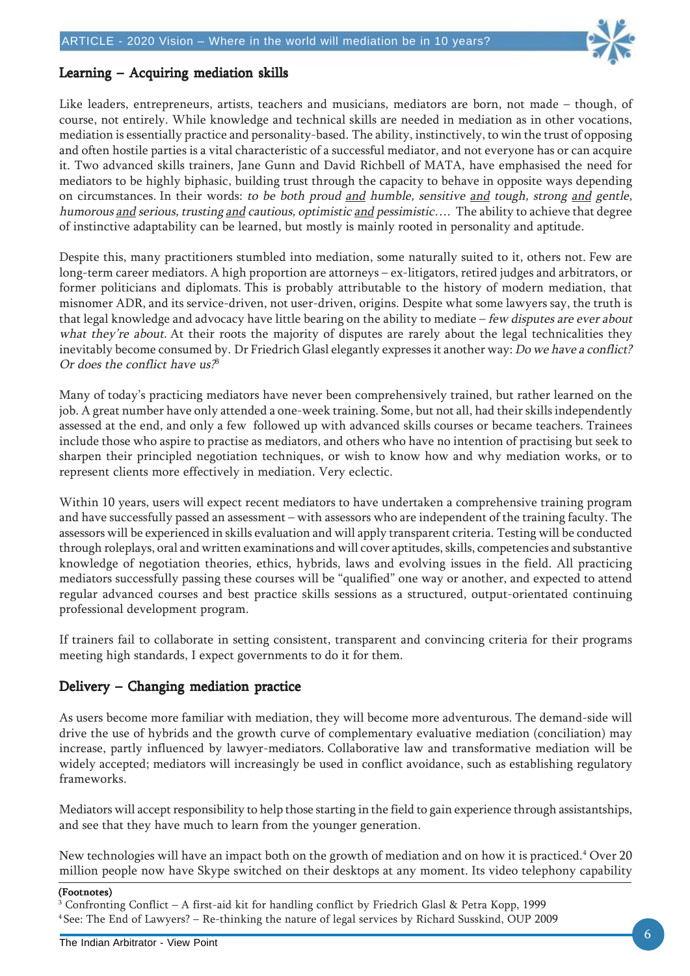

#### Learning – Acquiring mediation skills

Like leaders, entrepreneurs, artists, teachers and musicians, mediators are born, not made – though, of course, not entirely. While knowledge and technical skills are needed in mediation as in other vocations, mediation is essentially practice and personality-based. The ability, instinctively, to win the trust of opposing and often hostile parties is a vital characteristic of a successful mediator, and not everyone has or can acquire it. Two advanced skills trainers, Jane Gunn and David Richbell of MATA, have emphasised the need for mediators to be highly biphasic, building trust through the capacity to behave in opposite ways depending on circumstances. In their words: to be both proud and humble, sensitive and tough, strong and gentle, humorous and serious, trusting and cautious, optimistic and pessimistic.... The ability to achieve that degree of instinctive adaptability can be learned, but mostly is mainly rooted in personality and aptitude.

Despite this, many practitioners stumbled into mediation, some naturally suited to it, others not. Few are long-term career mediators. A high proportion are attorneys – ex-litigators, retired judges and arbitrators, or former politicians and diplomats. This is probably attributable to the history of modern mediation, that misnomer ADR, and its service-driven, not user-driven, origins. Despite what some lawyers say, the truth is that legal knowledge and advocacy have little bearing on the ability to mediate  $-$  few disputes are ever about what they're about. At their roots the majority of disputes are rarely about the legal technicalities they inevitably become consumed by. Dr Friedrich Glasl elegantly expresses it another way: Do we have a conflict? Or does the conflict have  $us^3$ 

Many of today's practicing mediators have never been comprehensively trained, but rather learned on the job. A great number have only attended a one-week training. Some, but not all, had their skills independently assessed at the end, and only a few followed up with advanced skills courses or became teachers. Trainees include those who aspire to practise as mediators, and others who have no intention of practising but seek to sharpen their principled negotiation techniques, or wish to know how and why mediation works, or to represent clients more effectively in mediation. Very eclectic.

Within 10 years, users will expect recent mediators to have undertaken a comprehensive training program and have successfully passed an assessment – with assessors who are independent of the training faculty. The assessors will be experienced in skills evaluation and will apply transparent criteria. Testing will be conducted through roleplays, oral and written examinations and will cover aptitudes, skills, competencies and substantive knowledge of negotiation theories, ethics, hybrids, laws and evolving issues in the field. All practicing mediators successfully passing these courses will be "qualified" one way or another, and expected to attend regular advanced courses and best practice skills sessions as a structured, output-orientated continuing professional development program.

If trainers fail to collaborate in setting consistent, transparent and convincing criteria for their programs meeting high standards, I expect governments to do it for them.

#### Delivery – Changing mediation practice

As users become more familiar with mediation, they will become more adventurous. The demand-side will drive the use of hybrids and the growth curve of complementary evaluative mediation (conciliation) may increase, partly influenced by lawyer-mediators. Collaborative law and transformative mediation will be widely accepted; mediators will increasingly be used in conflict avoidance, such as establishing regulatory frameworks.

Mediators will accept responsibility to help those starting in the field to gain experience through assistantships, and see that they have much to learn from the younger generation.

New technologies will have an impact both on the growth of mediation and on how it is practiced.<sup>4</sup> Over 20 million people now have Skype switched on their desktops at any moment. Its video telephony capability

3 Confronting Conflict – A first-aid kit for handling conflict by Friedrich Glasl & Petra Kopp, 1999 4 See: The End of Lawyers? – Re-thinking the nature of legal services by Richard Susskind, OUP 2009

<sup>(</sup>Footnotes)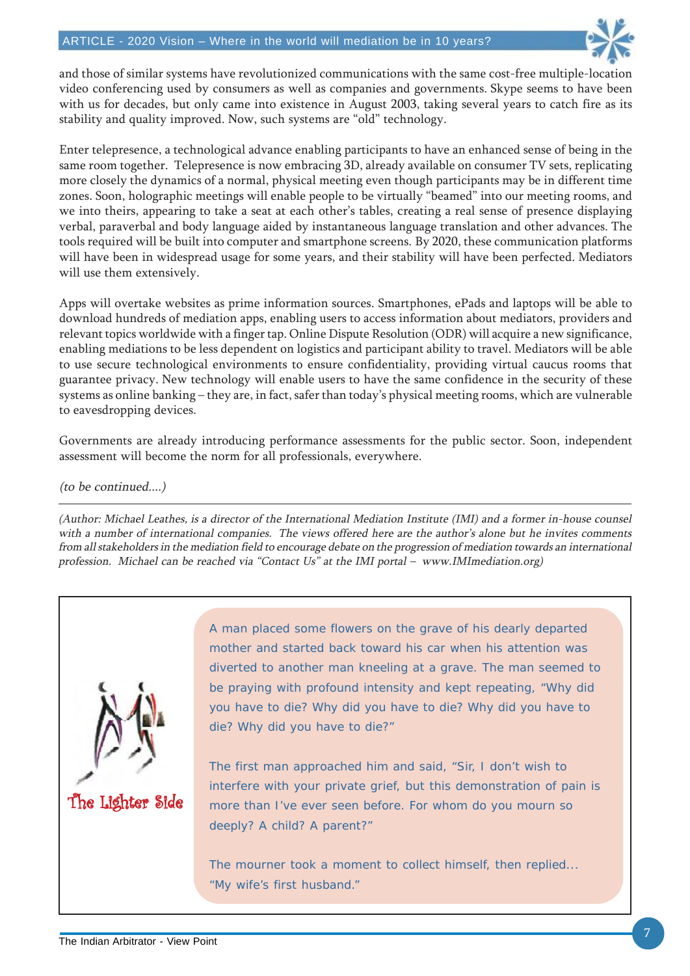

and those of similar systems have revolutionized communications with the same cost-free multiple-location video conferencing used by consumers as well as companies and governments. Skype seems to have been with us for decades, but only came into existence in August 2003, taking several years to catch fire as its stability and quality improved. Now, such systems are "old" technology.

Enter telepresence, a technological advance enabling participants to have an enhanced sense of being in the same room together. Telepresence is now embracing 3D, already available on consumer TV sets, replicating more closely the dynamics of a normal, physical meeting even though participants may be in different time zones. Soon, holographic meetings will enable people to be virtually "beamed" into our meeting rooms, and we into theirs, appearing to take a seat at each other's tables, creating a real sense of presence displaying verbal, paraverbal and body language aided by instantaneous language translation and other advances. The tools required will be built into computer and smartphone screens. By 2020, these communication platforms will have been in widespread usage for some years, and their stability will have been perfected. Mediators will use them extensively.

Apps will overtake websites as prime information sources. Smartphones, ePads and laptops will be able to download hundreds of mediation apps, enabling users to access information about mediators, providers and relevant topics worldwide with a finger tap. Online Dispute Resolution (ODR) will acquire a new significance, enabling mediations to be less dependent on logistics and participant ability to travel. Mediators will be able to use secure technological environments to ensure confidentiality, providing virtual caucus rooms that guarantee privacy. New technology will enable users to have the same confidence in the security of these systems as online banking – they are, in fact, safer than today's physical meeting rooms, which are vulnerable to eavesdropping devices.

Governments are already introducing performance assessments for the public sector. Soon, independent assessment will become the norm for all professionals, everywhere.

(to be continued....)

(Author: Michael Leathes, is a director of the International Mediation Institute (IMI) and a former in-house counsel with a number of international companies. The views offered here are the author's alone but he invites comments from all stakeholders in the mediation field to encourage debate on the progression of mediation towards an international profession. Michael can be reached via "Contact Us" at the IMI portal – www.IMImediation.org)



A man placed some flowers on the grave of his dearly departed mother and started back toward his car when his attention was diverted to another man kneeling at a grave. The man seemed to be praying with profound intensity and kept repeating, "Why did you have to die? Why did you have to die? Why did you have to die? Why did you have to die?"

The first man approached him and said, "Sir, I don't wish to interfere with your private grief, but this demonstration of pain is more than I've ever seen before. For whom do you mourn so deeply? A child? A parent?"

The mourner took a moment to collect himself, then replied... "My wife's first husband."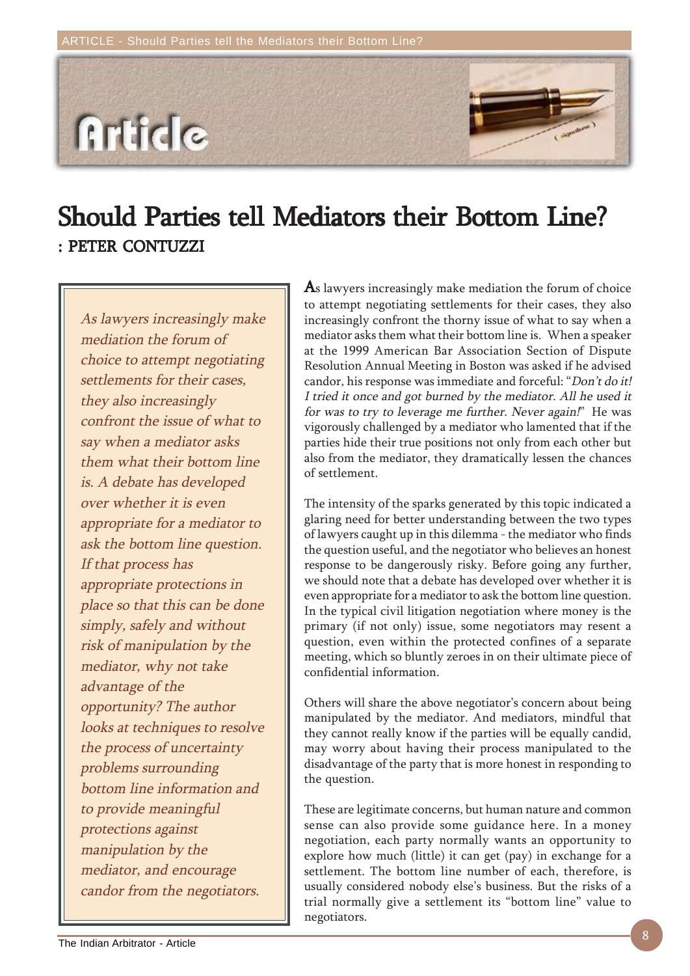# **Article**

# Should Parties tell Mediators their Bottom Line? : PETER CONTUZZI : PETER

As lawyers increasingly make mediation the forum of choice to attempt negotiating settlements for their cases, they also increasingly confront the issue of what to say when a mediator asks them what their bottom line is. A debate has developed over whether it is even appropriate for a mediator to ask the bottom line question. If that process has appropriate protections in place so that this can be done simply, safely and without risk of manipulation by the mediator, why not take advantage of the opportunity? The author looks at techniques to resolve the process of uncertainty problems surrounding bottom line information and to provide meaningful protections against manipulation by the mediator, and encourage candor from the negotiators.

As lawyers increasingly make mediation the forum of choice to attempt negotiating settlements for their cases, they also increasingly confront the thorny issue of what to say when a mediator asks them what their bottom line is. When a speaker at the 1999 American Bar Association Section of Dispute Resolution Annual Meeting in Boston was asked if he advised candor, his response was immediate and forceful: "Don't do it! I tried it once and got burned by the mediator. All he used it for was to try to leverage me further. Never again!" He was vigorously challenged by a mediator who lamented that if the parties hide their true positions not only from each other but also from the mediator, they dramatically lessen the chances of settlement.

The intensity of the sparks generated by this topic indicated a glaring need for better understanding between the two types of lawyers caught up in this dilemma - the mediator who finds the question useful, and the negotiator who believes an honest response to be dangerously risky. Before going any further, we should note that a debate has developed over whether it is even appropriate for a mediator to ask the bottom line question. In the typical civil litigation negotiation where money is the primary (if not only) issue, some negotiators may resent a question, even within the protected confines of a separate meeting, which so bluntly zeroes in on their ultimate piece of confidential information.

Others will share the above negotiator's concern about being manipulated by the mediator. And mediators, mindful that they cannot really know if the parties will be equally candid, may worry about having their process manipulated to the disadvantage of the party that is more honest in responding to the question.

These are legitimate concerns, but human nature and common sense can also provide some guidance here. In a money negotiation, each party normally wants an opportunity to explore how much (little) it can get (pay) in exchange for a settlement. The bottom line number of each, therefore, is usually considered nobody else's business. But the risks of a trial normally give a settlement its "bottom line" value to negotiators.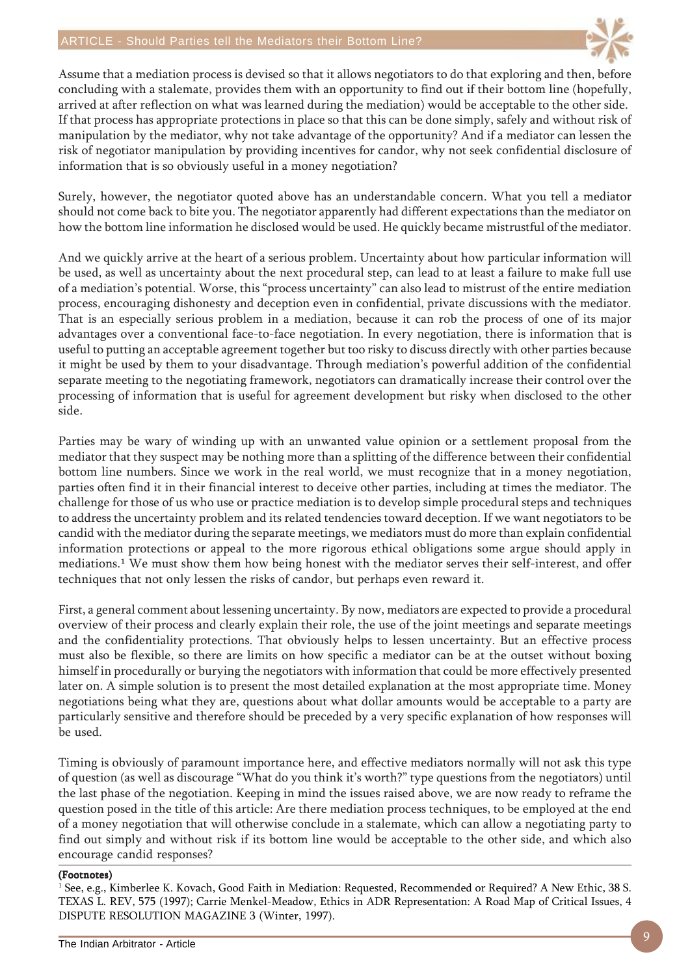

Assume that a mediation process is devised so that it allows negotiators to do that exploring and then, before concluding with a stalemate, provides them with an opportunity to find out if their bottom line (hopefully, arrived at after reflection on what was learned during the mediation) would be acceptable to the other side. If that process has appropriate protections in place so that this can be done simply, safely and without risk of manipulation by the mediator, why not take advantage of the opportunity? And if a mediator can lessen the risk of negotiator manipulation by providing incentives for candor, why not seek confidential disclosure of information that is so obviously useful in a money negotiation?

Surely, however, the negotiator quoted above has an understandable concern. What you tell a mediator should not come back to bite you. The negotiator apparently had different expectations than the mediator on how the bottom line information he disclosed would be used. He quickly became mistrustful of the mediator.

And we quickly arrive at the heart of a serious problem. Uncertainty about how particular information will be used, as well as uncertainty about the next procedural step, can lead to at least a failure to make full use of a mediation's potential. Worse, this "process uncertainty" can also lead to mistrust of the entire mediation process, encouraging dishonesty and deception even in confidential, private discussions with the mediator. That is an especially serious problem in a mediation, because it can rob the process of one of its major advantages over a conventional face-to-face negotiation. In every negotiation, there is information that is useful to putting an acceptable agreement together but too risky to discuss directly with other parties because it might be used by them to your disadvantage. Through mediation's powerful addition of the confidential separate meeting to the negotiating framework, negotiators can dramatically increase their control over the processing of information that is useful for agreement development but risky when disclosed to the other side.

Parties may be wary of winding up with an unwanted value opinion or a settlement proposal from the mediator that they suspect may be nothing more than a splitting of the difference between their confidential bottom line numbers. Since we work in the real world, we must recognize that in a money negotiation, parties often find it in their financial interest to deceive other parties, including at times the mediator. The challenge for those of us who use or practice mediation is to develop simple procedural steps and techniques to address the uncertainty problem and its related tendencies toward deception. If we want negotiators to be candid with the mediator during the separate meetings, we mediators must do more than explain confidential information protections or appeal to the more rigorous ethical obligations some argue should apply in mediations.<sup>1</sup> We must show them how being honest with the mediator serves their self-interest, and offer techniques that not only lessen the risks of candor, but perhaps even reward it.

First, a general comment about lessening uncertainty. By now, mediators are expected to provide a procedural overview of their process and clearly explain their role, the use of the joint meetings and separate meetings and the confidentiality protections. That obviously helps to lessen uncertainty. But an effective process must also be flexible, so there are limits on how specific a mediator can be at the outset without boxing himself in procedurally or burying the negotiators with information that could be more effectively presented later on. A simple solution is to present the most detailed explanation at the most appropriate time. Money negotiations being what they are, questions about what dollar amounts would be acceptable to a party are particularly sensitive and therefore should be preceded by a very specific explanation of how responses will be used.

Timing is obviously of paramount importance here, and effective mediators normally will not ask this type of question (as well as discourage "What do you think it's worth?" type questions from the negotiators) until the last phase of the negotiation. Keeping in mind the issues raised above, we are now ready to reframe the question posed in the title of this article: Are there mediation process techniques, to be employed at the end of a money negotiation that will otherwise conclude in a stalemate, which can allow a negotiating party to find out simply and without risk if its bottom line would be acceptable to the other side, and which also encourage candid responses?

#### (Footnotes)

<sup>1</sup> See, e.g., Kimberlee K. Kovach, Good Faith in Mediation: Requested, Recommended or Required? A New Ethic, 38 S. TEXAS L. REV, 575 (1997); Carrie Menkel-Meadow, Ethics in ADR Representation: A Road Map of Critical Issues, 4 DISPUTE RESOLUTION MAGAZINE 3 (Winter, 1997).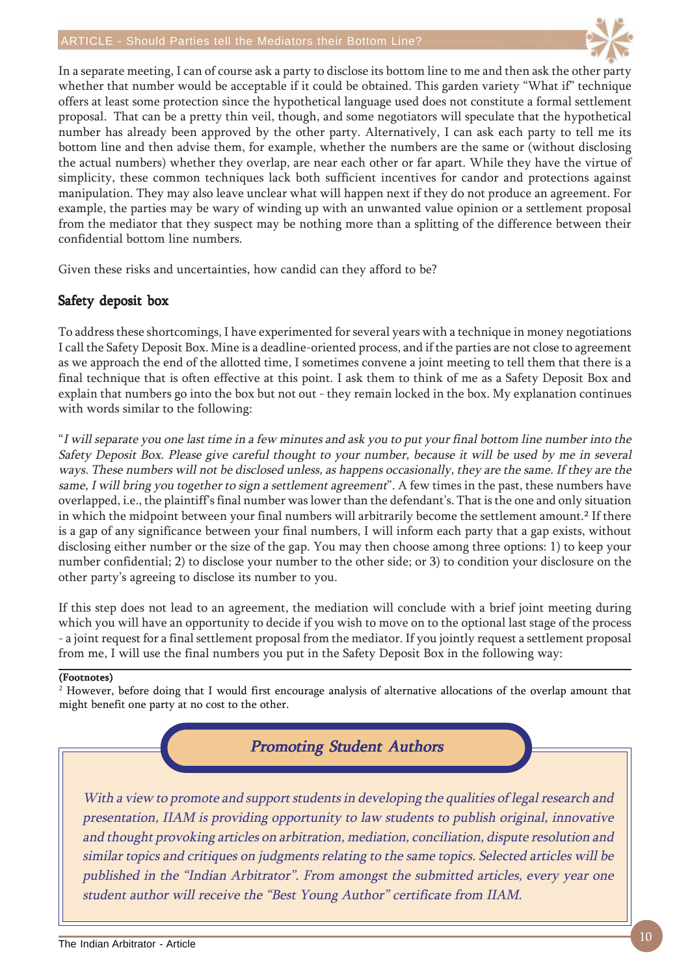

In a separate meeting, I can of course ask a party to disclose its bottom line to me and then ask the other party whether that number would be acceptable if it could be obtained. This garden variety "What if" technique offers at least some protection since the hypothetical language used does not constitute a formal settlement proposal. That can be a pretty thin veil, though, and some negotiators will speculate that the hypothetical number has already been approved by the other party. Alternatively, I can ask each party to tell me its bottom line and then advise them, for example, whether the numbers are the same or (without disclosing the actual numbers) whether they overlap, are near each other or far apart. While they have the virtue of simplicity, these common techniques lack both sufficient incentives for candor and protections against manipulation. They may also leave unclear what will happen next if they do not produce an agreement. For example, the parties may be wary of winding up with an unwanted value opinion or a settlement proposal from the mediator that they suspect may be nothing more than a splitting of the difference between their confidential bottom line numbers.

Given these risks and uncertainties, how candid can they afford to be?

#### Safety deposit box

To address these shortcomings, I have experimented for several years with a technique in money negotiations I call the Safety Deposit Box. Mine is a deadline-oriented process, and if the parties are not close to agreement as we approach the end of the allotted time, I sometimes convene a joint meeting to tell them that there is a final technique that is often effective at this point. I ask them to think of me as a Safety Deposit Box and explain that numbers go into the box but not out - they remain locked in the box. My explanation continues with words similar to the following:

"I will separate you one last time in a few minutes and ask you to put your final bottom line number into the Safety Deposit Box. Please give careful thought to your number, because it will be used by me in several ways. These numbers will not be disclosed unless, as happens occasionally, they are the same. If they are the same, I will bring you together to sign a settlement agreement". A few times in the past, these numbers have overlapped, i.e., the plaintiff's final number was lower than the defendant's. That is the one and only situation in which the midpoint between your final numbers will arbitrarily become the settlement amount.<sup>2</sup> If there is a gap of any significance between your final numbers, I will inform each party that a gap exists, without disclosing either number or the size of the gap. You may then choose among three options: 1) to keep your number confidential; 2) to disclose your number to the other side; or 3) to condition your disclosure on the other party's agreeing to disclose its number to you.

If this step does not lead to an agreement, the mediation will conclude with a brief joint meeting during which you will have an opportunity to decide if you wish to move on to the optional last stage of the process - a joint request for a final settlement proposal from the mediator. If you jointly request a settlement proposal from me, I will use the final numbers you put in the Safety Deposit Box in the following way:

#### (Footnotes)

 $2$  However, before doing that I would first encourage analysis of alternative allocations of the overlap amount that might benefit one party at no cost to the other.

#### **Promoting Student Authors**

With a view to promote and support students in developing the qualities of legal research and presentation, IIAM is providing opportunity to law students to publish original, innovative and thought provoking articles on arbitration, mediation, conciliation, dispute resolution and similar topics and critiques on judgments relating to the same topics. Selected articles will be published in the "Indian Arbitrator". From amongst the submitted articles, every year one student author will receive the "Best Young Author" certificate from IIAM.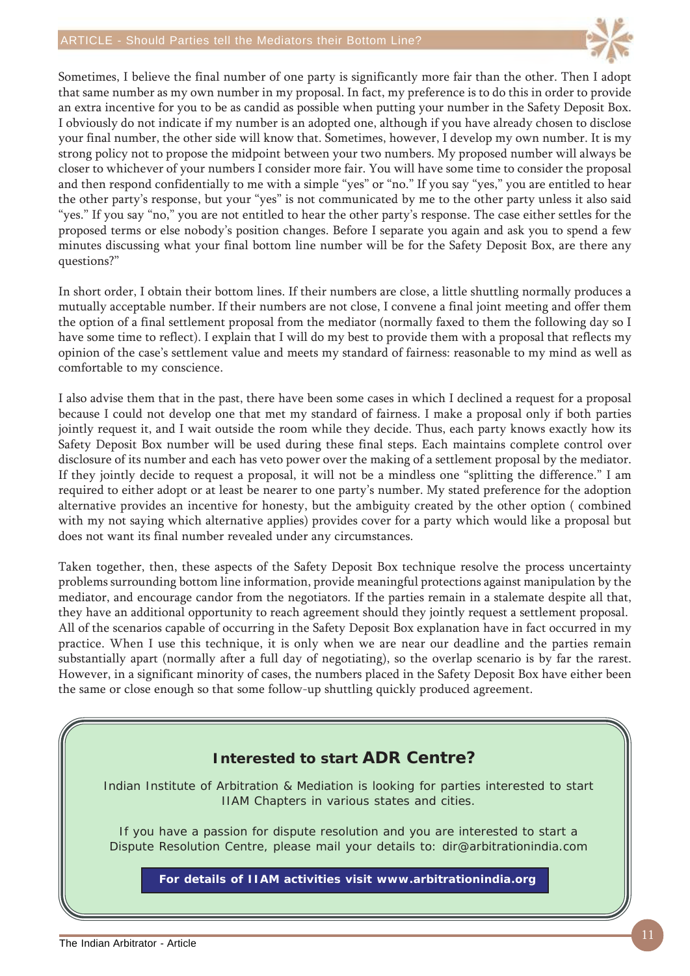

Sometimes, I believe the final number of one party is significantly more fair than the other. Then I adopt that same number as my own number in my proposal. In fact, my preference is to do this in order to provide an extra incentive for you to be as candid as possible when putting your number in the Safety Deposit Box. I obviously do not indicate if my number is an adopted one, although if you have already chosen to disclose your final number, the other side will know that. Sometimes, however, I develop my own number. It is my strong policy not to propose the midpoint between your two numbers. My proposed number will always be closer to whichever of your numbers I consider more fair. You will have some time to consider the proposal and then respond confidentially to me with a simple "yes" or "no." If you say "yes," you are entitled to hear the other party's response, but your "yes" is not communicated by me to the other party unless it also said "yes." If you say "no," you are not entitled to hear the other party's response. The case either settles for the proposed terms or else nobody's position changes. Before I separate you again and ask you to spend a few minutes discussing what your final bottom line number will be for the Safety Deposit Box, are there any questions?"

In short order, I obtain their bottom lines. If their numbers are close, a little shuttling normally produces a mutually acceptable number. If their numbers are not close, I convene a final joint meeting and offer them the option of a final settlement proposal from the mediator (normally faxed to them the following day so I have some time to reflect). I explain that I will do my best to provide them with a proposal that reflects my opinion of the case's settlement value and meets my standard of fairness: reasonable to my mind as well as comfortable to my conscience.

I also advise them that in the past, there have been some cases in which I declined a request for a proposal because I could not develop one that met my standard of fairness. I make a proposal only if both parties jointly request it, and I wait outside the room while they decide. Thus, each party knows exactly how its Safety Deposit Box number will be used during these final steps. Each maintains complete control over disclosure of its number and each has veto power over the making of a settlement proposal by the mediator. If they jointly decide to request a proposal, it will not be a mindless one "splitting the difference." I am required to either adopt or at least be nearer to one party's number. My stated preference for the adoption alternative provides an incentive for honesty, but the ambiguity created by the other option ( combined with my not saying which alternative applies) provides cover for a party which would like a proposal but does not want its final number revealed under any circumstances.

Taken together, then, these aspects of the Safety Deposit Box technique resolve the process uncertainty problems surrounding bottom line information, provide meaningful protections against manipulation by the mediator, and encourage candor from the negotiators. If the parties remain in a stalemate despite all that, they have an additional opportunity to reach agreement should they jointly request a settlement proposal. All of the scenarios capable of occurring in the Safety Deposit Box explanation have in fact occurred in my practice. When I use this technique, it is only when we are near our deadline and the parties remain substantially apart (normally after a full day of negotiating), so the overlap scenario is by far the rarest. However, in a significant minority of cases, the numbers placed in the Safety Deposit Box have either been the same or close enough so that some follow-up shuttling quickly produced agreement.

# **Interested to start ADR Centre? For details of IIAM activities visit www.arbitrationindia.org** Indian Institute of Arbitration & Mediation is looking for parties interested to start IIAM Chapters in various states and cities. If you have a passion for dispute resolution and you are interested to start a Dispute Resolution Centre, please mail your details to: dir@arbitrationindia.com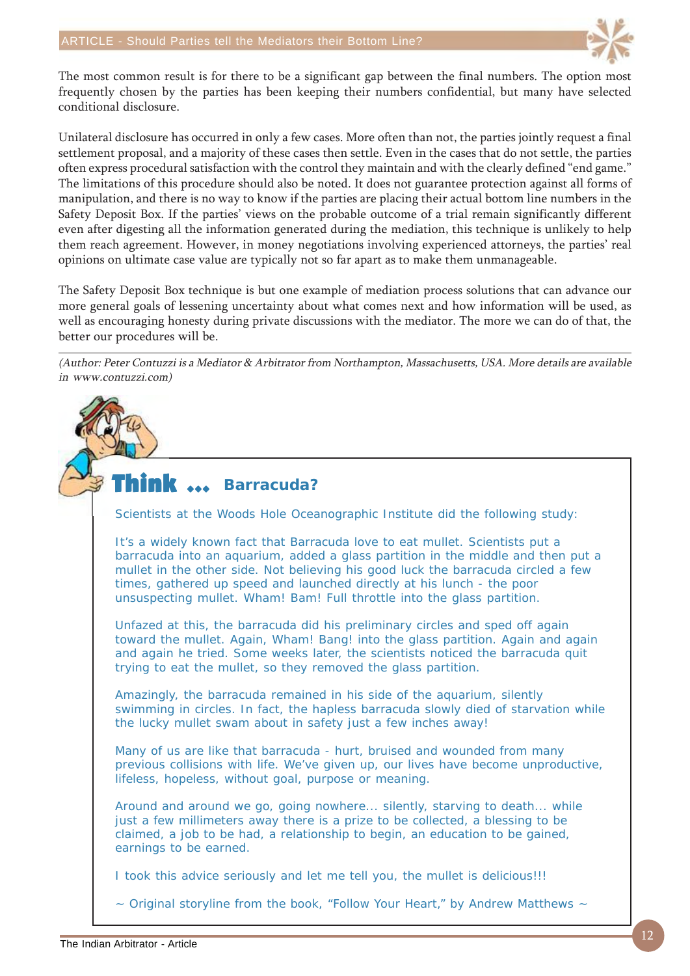

The most common result is for there to be a significant gap between the final numbers. The option most frequently chosen by the parties has been keeping their numbers confidential, but many have selected conditional disclosure.

Unilateral disclosure has occurred in only a few cases. More often than not, the parties jointly request a final settlement proposal, and a majority of these cases then settle. Even in the cases that do not settle, the parties often express procedural satisfaction with the control they maintain and with the clearly defined "end game." The limitations of this procedure should also be noted. It does not guarantee protection against all forms of manipulation, and there is no way to know if the parties are placing their actual bottom line numbers in the Safety Deposit Box. If the parties' views on the probable outcome of a trial remain significantly different even after digesting all the information generated during the mediation, this technique is unlikely to help them reach agreement. However, in money negotiations involving experienced attorneys, the parties' real opinions on ultimate case value are typically not so far apart as to make them unmanageable.

The Safety Deposit Box technique is but one example of mediation process solutions that can advance our more general goals of lessening uncertainty about what comes next and how information will be used, as well as encouraging honesty during private discussions with the mediator. The more we can do of that, the better our procedures will be.

(Author: Peter Contuzzi is a Mediator & Arbitrator from Northampton, Massachusetts, USA. More details are available in www.contuzzi.com)

#### Think  $\, \cdots$ **Barracuda?**

Scientists at the Woods Hole Oceanographic Institute did the following study:

It's a widely known fact that Barracuda love to eat mullet. Scientists put a barracuda into an aquarium, added a glass partition in the middle and then put a mullet in the other side. Not believing his good luck the barracuda circled a few times, gathered up speed and launched directly at his lunch - the poor unsuspecting mullet. Wham! Bam! Full throttle into the glass partition.

Unfazed at this, the barracuda did his preliminary circles and sped off again toward the mullet. Again, Wham! Bang! into the glass partition. Again and again and again he tried. Some weeks later, the scientists noticed the barracuda quit trying to eat the mullet, so they removed the glass partition.

Amazingly, the barracuda remained in his side of the aquarium, silently swimming in circles. In fact, the hapless barracuda slowly died of starvation while the lucky mullet swam about in safety just a few inches away!

Many of us are like that barracuda - hurt, bruised and wounded from many previous collisions with life. We've given up, our lives have become unproductive, lifeless, hopeless, without goal, purpose or meaning.

Around and around we go, going nowhere... silently, starving to death... while just a few millimeters away there is a prize to be collected, a blessing to be claimed, a job to be had, a relationship to begin, an education to be gained, earnings to be earned.

I took this advice seriously and let me tell you, the mullet is delicious!!!

 $\sim$  Original storyline from the book, "Follow Your Heart," by Andrew Matthews  $\sim$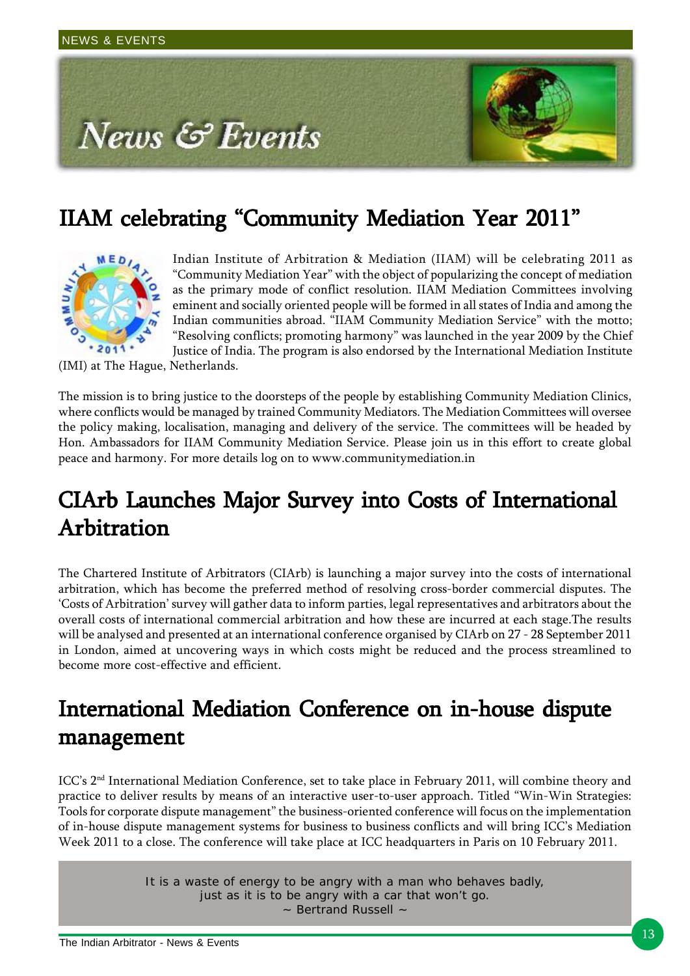

# IIAM celebrating "Community Mediation Year 2011"



Indian Institute of Arbitration & Mediation (IIAM) will be celebrating 2011 as "Community Mediation Year" with the object of popularizing the concept of mediation as the primary mode of conflict resolution. IIAM Mediation Committees involving eminent and socially oriented people will be formed in all states of India and among the Indian communities abroad. "IIAM Community Mediation Service" with the motto; "Resolving conflicts; promoting harmony" was launched in the year 2009 by the Chief Justice of India. The program is also endorsed by the International Mediation Institute

(IMI) at The Hague, Netherlands.

The mission is to bring justice to the doorsteps of the people by establishing Community Mediation Clinics, where conflicts would be managed by trained Community Mediators. The Mediation Committees will oversee the policy making, localisation, managing and delivery of the service. The committees will be headed by Hon. Ambassadors for IIAM Community Mediation Service. Please join us in this effort to create global peace and harmony. For more details log on to www.communitymediation.in

## CIArb Launches Major Survey into Costs of International Arbitration

The Chartered Institute of Arbitrators (CIArb) is launching a major survey into the costs of international arbitration, which has become the preferred method of resolving cross-border commercial disputes. The 'Costs of Arbitration' survey will gather data to inform parties, legal representatives and arbitrators about the overall costs of international commercial arbitration and how these are incurred at each stage.The results will be analysed and presented at an international conference organised by CIArb on 27 - 28 September 2011 in London, aimed at uncovering ways in which costs might be reduced and the process streamlined to become more cost-effective and efficient.

## International Mediation Conference on in-house dispute management

ICC's 2<sup>nd</sup> International Mediation Conference, set to take place in February 2011, will combine theory and practice to deliver results by means of an interactive user-to-user approach. Titled "Win-Win Strategies: Tools for corporate dispute management" the business-oriented conference will focus on the implementation of in-house dispute management systems for business to business conflicts and will bring ICC's Mediation Week 2011 to a close. The conference will take place at ICC headquarters in Paris on 10 February 2011.

> It is a waste of energy to be angry with a man who behaves badly, just as it is to be angry with a car that won't go. ~ Bertrand Russell ~